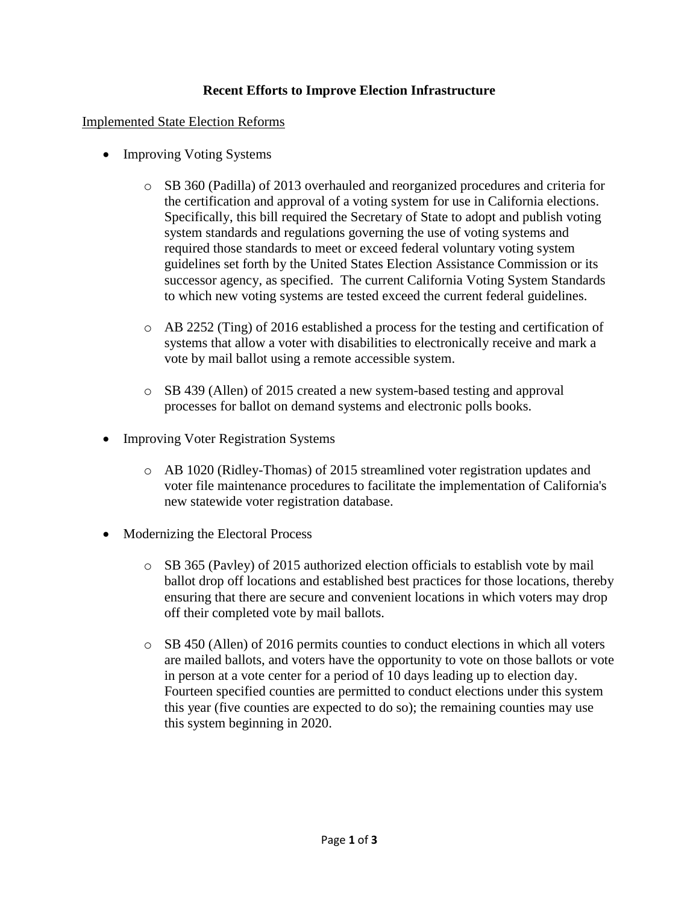## **Recent Efforts to Improve Election Infrastructure**

#### Implemented State Election Reforms

- Improving Voting Systems
	- o SB 360 (Padilla) of 2013 overhauled and reorganized procedures and criteria for the certification and approval of a voting system for use in California elections. Specifically, this bill required the Secretary of State to adopt and publish voting system standards and regulations governing the use of voting systems and required those standards to meet or exceed federal voluntary voting system guidelines set forth by the United States Election Assistance Commission or its successor agency, as specified. The current California Voting System Standards to which new voting systems are tested exceed the current federal guidelines.
	- o AB 2252 (Ting) of 2016 established a process for the testing and certification of systems that allow a voter with disabilities to electronically receive and mark a vote by mail ballot using a remote accessible system.
	- o SB 439 (Allen) of 2015 created a new system-based testing and approval processes for ballot on demand systems and electronic polls books.
- Improving Voter Registration Systems
	- o AB 1020 (Ridley-Thomas) of 2015 streamlined voter registration updates and voter file maintenance procedures to facilitate the implementation of California's new statewide voter registration database.
- Modernizing the Electoral Process
	- o SB 365 (Pavley) of 2015 authorized election officials to establish vote by mail ballot drop off locations and established best practices for those locations, thereby ensuring that there are secure and convenient locations in which voters may drop off their completed vote by mail ballots.
	- $\circ$  SB 450 (Allen) of 2016 permits counties to conduct elections in which all voters are mailed ballots, and voters have the opportunity to vote on those ballots or vote in person at a vote center for a period of 10 days leading up to election day. Fourteen specified counties are permitted to conduct elections under this system this year (five counties are expected to do so); the remaining counties may use this system beginning in 2020.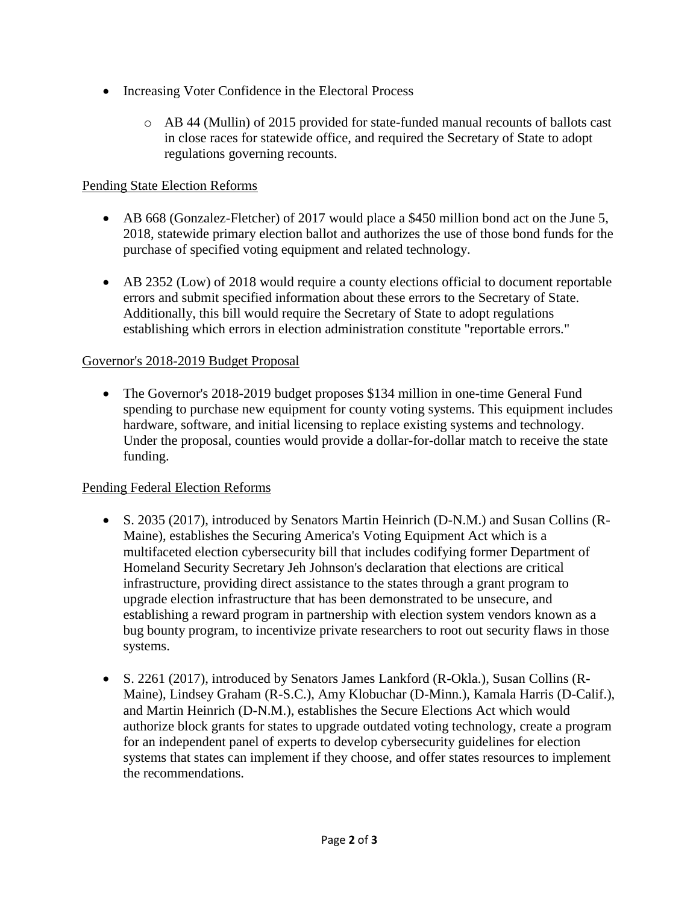- Increasing Voter Confidence in the Electoral Process
	- $\circ$  AB 44 (Mullin) of 2015 provided for state-funded manual recounts of ballots cast in close races for statewide office, and required the Secretary of State to adopt regulations governing recounts.

# Pending State Election Reforms

- AB 668 (Gonzalez-Fletcher) of 2017 would place a \$450 million bond act on the June 5, 2018, statewide primary election ballot and authorizes the use of those bond funds for the purchase of specified voting equipment and related technology.
- AB 2352 (Low) of 2018 would require a county elections official to document reportable errors and submit specified information about these errors to the Secretary of State. Additionally, this bill would require the Secretary of State to adopt regulations establishing which errors in election administration constitute "reportable errors."

### Governor's 2018-2019 Budget Proposal

• The Governor's 2018-2019 budget proposes \$134 million in one-time General Fund spending to purchase new equipment for county voting systems. This equipment includes hardware, software, and initial licensing to replace existing systems and technology. Under the proposal, counties would provide a dollar-for-dollar match to receive the state funding.

### Pending Federal Election Reforms

- S. 2035 (2017), introduced by Senators Martin Heinrich (D-N.M.) and Susan Collins (R-Maine), establishes the Securing America's Voting Equipment Act which is a multifaceted election cybersecurity bill that includes codifying former Department of Homeland Security Secretary Jeh Johnson's declaration that elections are critical infrastructure, providing direct assistance to the states through a grant program to upgrade election infrastructure that has been demonstrated to be unsecure, and establishing a reward program in partnership with election system vendors known as a bug bounty program, to incentivize private researchers to root out security flaws in those systems.
- S. 2261 (2017), introduced by Senators James Lankford (R-Okla.), Susan Collins (R-Maine), Lindsey Graham (R-S.C.), Amy Klobuchar (D-Minn.), Kamala Harris (D-Calif.), and Martin Heinrich (D-N.M.), establishes the Secure Elections Act which would authorize block grants for states to upgrade outdated voting technology, create a program for an independent panel of experts to develop cybersecurity guidelines for election systems that states can implement if they choose, and offer states resources to implement the recommendations.